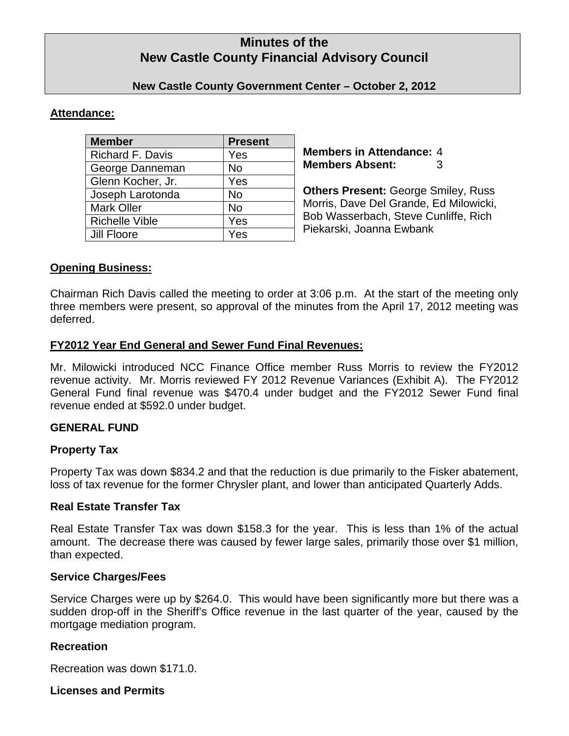# **Minutes of the New Castle County Financial Advisory Council**

### **New Castle County Government Center – October 2, 2012**

### **Attendance:**

| <b>Member</b>           | <b>Present</b> |
|-------------------------|----------------|
| <b>Richard F. Davis</b> | Yes            |
| George Danneman         | No             |
| Glenn Kocher, Jr.       | Yes            |
| Joseph Larotonda        | No             |
| <b>Mark Oller</b>       | <b>No</b>      |
| <b>Richelle Vible</b>   | Yes            |
| <b>Jill Floore</b>      | Yes            |

**Members in Attendance:** 4 **Members Absent:** 3

**Others Present:** George Smiley, Russ Morris, Dave Del Grande, Ed Milowicki, Bob Wasserbach, Steve Cunliffe, Rich Piekarski, Joanna Ewbank

### **Opening Business:**

Chairman Rich Davis called the meeting to order at 3:06 p.m. At the start of the meeting only three members were present, so approval of the minutes from the April 17, 2012 meeting was deferred.

### **FY2012 Year End General and Sewer Fund Final Revenues:**

Mr. Milowicki introduced NCC Finance Office member Russ Morris to review the FY2012 revenue activity. Mr. Morris reviewed FY 2012 Revenue Variances (Exhibit A). The FY2012 General Fund final revenue was \$470.4 under budget and the FY2012 Sewer Fund final revenue ended at \$592.0 under budget.

### **GENERAL FUND**

## **Property Tax**

Property Tax was down \$834.2 and that the reduction is due primarily to the Fisker abatement, loss of tax revenue for the former Chrysler plant, and lower than anticipated Quarterly Adds.

### **Real Estate Transfer Tax**

Real Estate Transfer Tax was down \$158.3 for the year. This is less than 1% of the actual amount. The decrease there was caused by fewer large sales, primarily those over \$1 million, than expected.

### **Service Charges/Fees**

Service Charges were up by \$264.0. This would have been significantly more but there was a sudden drop-off in the Sheriff's Office revenue in the last quarter of the year, caused by the mortgage mediation program.

### **Recreation**

Recreation was down \$171.0.

### **Licenses and Permits**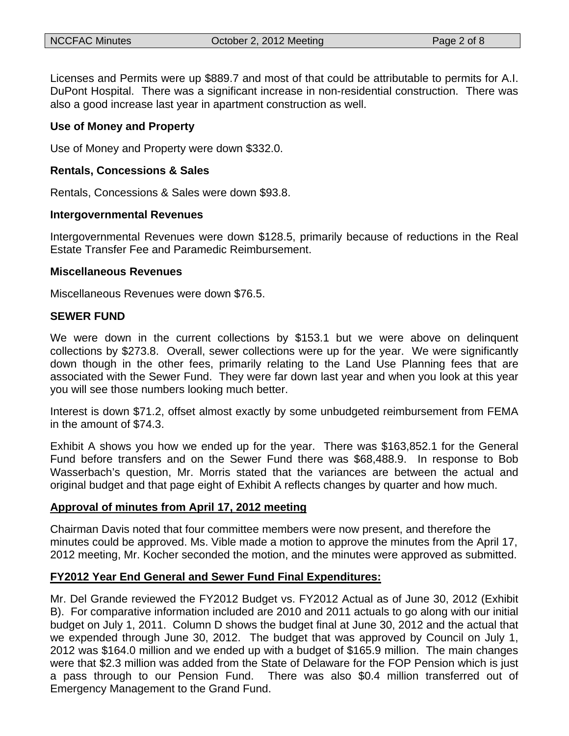Licenses and Permits were up \$889.7 and most of that could be attributable to permits for A.I. DuPont Hospital. There was a significant increase in non-residential construction. There was also a good increase last year in apartment construction as well.

### **Use of Money and Property**

Use of Money and Property were down \$332.0.

### **Rentals, Concessions & Sales**

Rentals, Concessions & Sales were down \$93.8.

### **Intergovernmental Revenues**

Intergovernmental Revenues were down \$128.5, primarily because of reductions in the Real Estate Transfer Fee and Paramedic Reimbursement.

### **Miscellaneous Revenues**

Miscellaneous Revenues were down \$76.5.

### **SEWER FUND**

We were down in the current collections by \$153.1 but we were above on delinquent collections by \$273.8. Overall, sewer collections were up for the year. We were significantly down though in the other fees, primarily relating to the Land Use Planning fees that are associated with the Sewer Fund. They were far down last year and when you look at this year you will see those numbers looking much better.

Interest is down \$71.2, offset almost exactly by some unbudgeted reimbursement from FEMA in the amount of \$74.3.

Exhibit A shows you how we ended up for the year. There was \$163,852.1 for the General Fund before transfers and on the Sewer Fund there was \$68,488.9. In response to Bob Wasserbach's question, Mr. Morris stated that the variances are between the actual and original budget and that page eight of Exhibit A reflects changes by quarter and how much.

### **Approval of minutes from April 17, 2012 meeting**

Chairman Davis noted that four committee members were now present, and therefore the minutes could be approved. Ms. Vible made a motion to approve the minutes from the April 17, 2012 meeting, Mr. Kocher seconded the motion, and the minutes were approved as submitted.

## **FY2012 Year End General and Sewer Fund Final Expenditures:**

Mr. Del Grande reviewed the FY2012 Budget vs. FY2012 Actual as of June 30, 2012 (Exhibit B). For comparative information included are 2010 and 2011 actuals to go along with our initial budget on July 1, 2011. Column D shows the budget final at June 30, 2012 and the actual that we expended through June 30, 2012. The budget that was approved by Council on July 1, 2012 was \$164.0 million and we ended up with a budget of \$165.9 million. The main changes were that \$2.3 million was added from the State of Delaware for the FOP Pension which is just a pass through to our Pension Fund. There was also \$0.4 million transferred out of Emergency Management to the Grand Fund.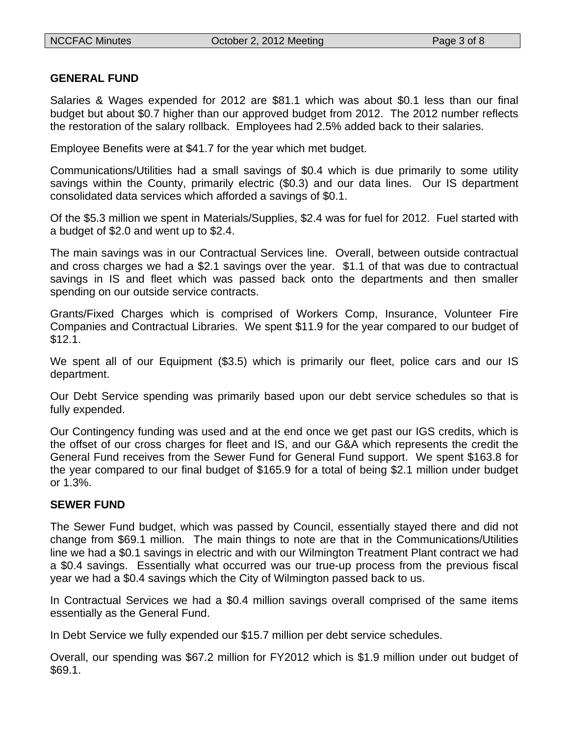## **GENERAL FUND**

Salaries & Wages expended for 2012 are \$81.1 which was about \$0.1 less than our final budget but about \$0.7 higher than our approved budget from 2012. The 2012 number reflects the restoration of the salary rollback. Employees had 2.5% added back to their salaries.

Employee Benefits were at \$41.7 for the year which met budget.

Communications/Utilities had a small savings of \$0.4 which is due primarily to some utility savings within the County, primarily electric (\$0.3) and our data lines. Our IS department consolidated data services which afforded a savings of \$0.1.

Of the \$5.3 million we spent in Materials/Supplies, \$2.4 was for fuel for 2012. Fuel started with a budget of \$2.0 and went up to \$2.4.

The main savings was in our Contractual Services line. Overall, between outside contractual and cross charges we had a \$2.1 savings over the year. \$1.1 of that was due to contractual savings in IS and fleet which was passed back onto the departments and then smaller spending on our outside service contracts.

Grants/Fixed Charges which is comprised of Workers Comp, Insurance, Volunteer Fire Companies and Contractual Libraries. We spent \$11.9 for the year compared to our budget of \$12.1.

We spent all of our Equipment (\$3.5) which is primarily our fleet, police cars and our IS department.

Our Debt Service spending was primarily based upon our debt service schedules so that is fully expended.

Our Contingency funding was used and at the end once we get past our IGS credits, which is the offset of our cross charges for fleet and IS, and our G&A which represents the credit the General Fund receives from the Sewer Fund for General Fund support. We spent \$163.8 for the year compared to our final budget of \$165.9 for a total of being \$2.1 million under budget or 1.3%.

## **SEWER FUND**

The Sewer Fund budget, which was passed by Council, essentially stayed there and did not change from \$69.1 million. The main things to note are that in the Communications/Utilities line we had a \$0.1 savings in electric and with our Wilmington Treatment Plant contract we had a \$0.4 savings. Essentially what occurred was our true-up process from the previous fiscal year we had a \$0.4 savings which the City of Wilmington passed back to us.

In Contractual Services we had a \$0.4 million savings overall comprised of the same items essentially as the General Fund.

In Debt Service we fully expended our \$15.7 million per debt service schedules.

Overall, our spending was \$67.2 million for FY2012 which is \$1.9 million under out budget of \$69.1.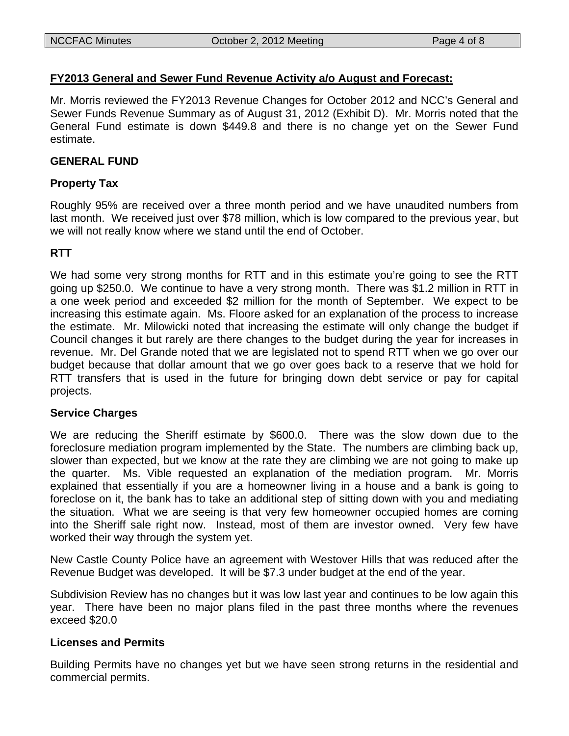## **FY2013 General and Sewer Fund Revenue Activity a/o August and Forecast:**

Mr. Morris reviewed the FY2013 Revenue Changes for October 2012 and NCC's General and Sewer Funds Revenue Summary as of August 31, 2012 (Exhibit D). Mr. Morris noted that the General Fund estimate is down \$449.8 and there is no change yet on the Sewer Fund estimate.

## **GENERAL FUND**

## **Property Tax**

Roughly 95% are received over a three month period and we have unaudited numbers from last month. We received just over \$78 million, which is low compared to the previous year, but we will not really know where we stand until the end of October.

## **RTT**

We had some very strong months for RTT and in this estimate you're going to see the RTT going up \$250.0. We continue to have a very strong month. There was \$1.2 million in RTT in a one week period and exceeded \$2 million for the month of September. We expect to be increasing this estimate again. Ms. Floore asked for an explanation of the process to increase the estimate. Mr. Milowicki noted that increasing the estimate will only change the budget if Council changes it but rarely are there changes to the budget during the year for increases in revenue. Mr. Del Grande noted that we are legislated not to spend RTT when we go over our budget because that dollar amount that we go over goes back to a reserve that we hold for RTT transfers that is used in the future for bringing down debt service or pay for capital projects.

## **Service Charges**

We are reducing the Sheriff estimate by \$600.0. There was the slow down due to the foreclosure mediation program implemented by the State. The numbers are climbing back up, slower than expected, but we know at the rate they are climbing we are not going to make up the quarter. Ms. Vible requested an explanation of the mediation program. Mr. Morris explained that essentially if you are a homeowner living in a house and a bank is going to foreclose on it, the bank has to take an additional step of sitting down with you and mediating the situation. What we are seeing is that very few homeowner occupied homes are coming into the Sheriff sale right now. Instead, most of them are investor owned. Very few have worked their way through the system yet.

New Castle County Police have an agreement with Westover Hills that was reduced after the Revenue Budget was developed. It will be \$7.3 under budget at the end of the year.

Subdivision Review has no changes but it was low last year and continues to be low again this year. There have been no major plans filed in the past three months where the revenues exceed \$20.0

## **Licenses and Permits**

Building Permits have no changes yet but we have seen strong returns in the residential and commercial permits.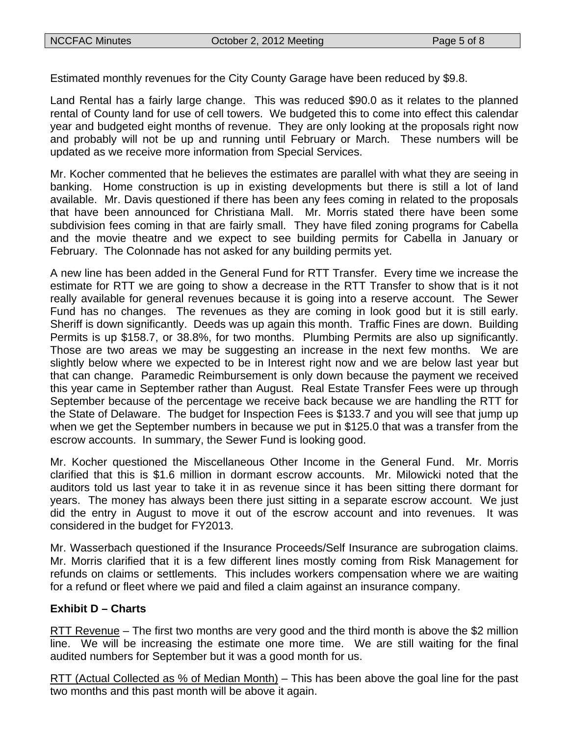Estimated monthly revenues for the City County Garage have been reduced by \$9.8.

Land Rental has a fairly large change. This was reduced \$90.0 as it relates to the planned rental of County land for use of cell towers. We budgeted this to come into effect this calendar year and budgeted eight months of revenue. They are only looking at the proposals right now and probably will not be up and running until February or March. These numbers will be updated as we receive more information from Special Services.

Mr. Kocher commented that he believes the estimates are parallel with what they are seeing in banking. Home construction is up in existing developments but there is still a lot of land available. Mr. Davis questioned if there has been any fees coming in related to the proposals that have been announced for Christiana Mall. Mr. Morris stated there have been some subdivision fees coming in that are fairly small. They have filed zoning programs for Cabella and the movie theatre and we expect to see building permits for Cabella in January or February. The Colonnade has not asked for any building permits yet.

A new line has been added in the General Fund for RTT Transfer. Every time we increase the estimate for RTT we are going to show a decrease in the RTT Transfer to show that is it not really available for general revenues because it is going into a reserve account. The Sewer Fund has no changes. The revenues as they are coming in look good but it is still early. Sheriff is down significantly. Deeds was up again this month. Traffic Fines are down. Building Permits is up \$158.7, or 38.8%, for two months. Plumbing Permits are also up significantly. Those are two areas we may be suggesting an increase in the next few months. We are slightly below where we expected to be in Interest right now and we are below last year but that can change. Paramedic Reimbursement is only down because the payment we received this year came in September rather than August. Real Estate Transfer Fees were up through September because of the percentage we receive back because we are handling the RTT for the State of Delaware. The budget for Inspection Fees is \$133.7 and you will see that jump up when we get the September numbers in because we put in \$125.0 that was a transfer from the escrow accounts. In summary, the Sewer Fund is looking good.

Mr. Kocher questioned the Miscellaneous Other Income in the General Fund. Mr. Morris clarified that this is \$1.6 million in dormant escrow accounts. Mr. Milowicki noted that the auditors told us last year to take it in as revenue since it has been sitting there dormant for years. The money has always been there just sitting in a separate escrow account. We just did the entry in August to move it out of the escrow account and into revenues. It was considered in the budget for FY2013.

Mr. Wasserbach questioned if the Insurance Proceeds/Self Insurance are subrogation claims. Mr. Morris clarified that it is a few different lines mostly coming from Risk Management for refunds on claims or settlements. This includes workers compensation where we are waiting for a refund or fleet where we paid and filed a claim against an insurance company.

## **Exhibit D – Charts**

RTT Revenue – The first two months are very good and the third month is above the \$2 million line. We will be increasing the estimate one more time. We are still waiting for the final audited numbers for September but it was a good month for us.

RTT (Actual Collected as % of Median Month) – This has been above the goal line for the past two months and this past month will be above it again.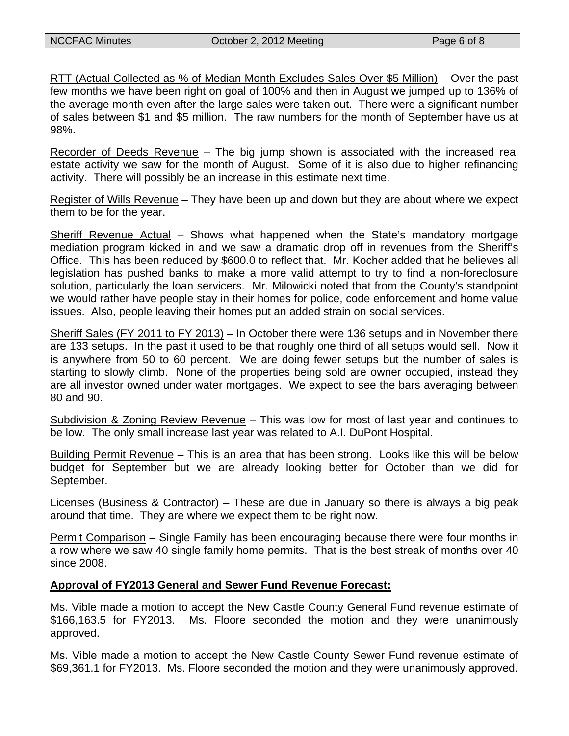RTT (Actual Collected as % of Median Month Excludes Sales Over \$5 Million) – Over the past few months we have been right on goal of 100% and then in August we jumped up to 136% of the average month even after the large sales were taken out. There were a significant number of sales between \$1 and \$5 million. The raw numbers for the month of September have us at 98%.

Recorder of Deeds Revenue – The big jump shown is associated with the increased real estate activity we saw for the month of August. Some of it is also due to higher refinancing activity. There will possibly be an increase in this estimate next time.

Register of Wills Revenue – They have been up and down but they are about where we expect them to be for the year.

Sheriff Revenue Actual – Shows what happened when the State's mandatory mortgage mediation program kicked in and we saw a dramatic drop off in revenues from the Sheriff's Office. This has been reduced by \$600.0 to reflect that. Mr. Kocher added that he believes all legislation has pushed banks to make a more valid attempt to try to find a non-foreclosure solution, particularly the loan servicers. Mr. Milowicki noted that from the County's standpoint we would rather have people stay in their homes for police, code enforcement and home value issues. Also, people leaving their homes put an added strain on social services.

Sheriff Sales (FY 2011 to FY 2013) – In October there were 136 setups and in November there are 133 setups. In the past it used to be that roughly one third of all setups would sell. Now it is anywhere from 50 to 60 percent. We are doing fewer setups but the number of sales is starting to slowly climb. None of the properties being sold are owner occupied, instead they are all investor owned under water mortgages. We expect to see the bars averaging between 80 and 90.

Subdivision & Zoning Review Revenue – This was low for most of last year and continues to be low. The only small increase last year was related to A.I. DuPont Hospital.

Building Permit Revenue – This is an area that has been strong. Looks like this will be below budget for September but we are already looking better for October than we did for September.

Licenses (Business & Contractor) – These are due in January so there is always a big peak around that time. They are where we expect them to be right now.

Permit Comparison – Single Family has been encouraging because there were four months in a row where we saw 40 single family home permits. That is the best streak of months over 40 since 2008.

## **Approval of FY2013 General and Sewer Fund Revenue Forecast:**

Ms. Vible made a motion to accept the New Castle County General Fund revenue estimate of \$166,163.5 for FY2013. Ms. Floore seconded the motion and they were unanimously approved.

Ms. Vible made a motion to accept the New Castle County Sewer Fund revenue estimate of \$69,361.1 for FY2013. Ms. Floore seconded the motion and they were unanimously approved.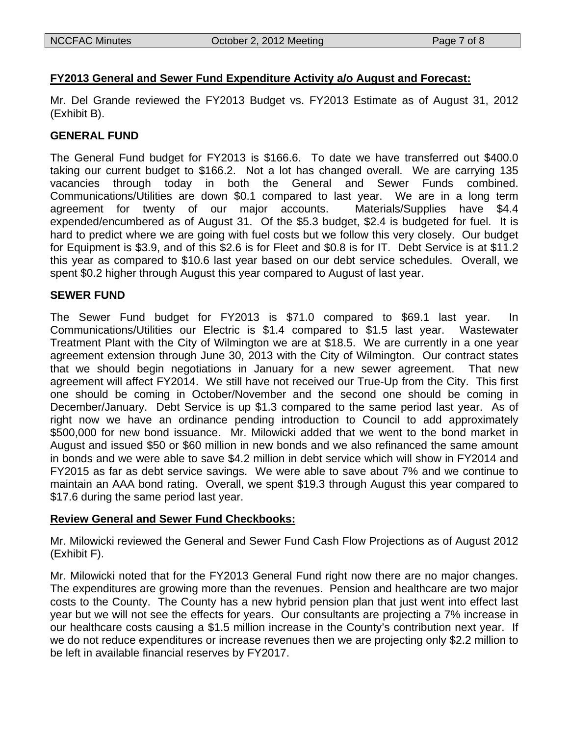## **FY2013 General and Sewer Fund Expenditure Activity a/o August and Forecast:**

Mr. Del Grande reviewed the FY2013 Budget vs. FY2013 Estimate as of August 31, 2012 (Exhibit B).

## **GENERAL FUND**

The General Fund budget for FY2013 is \$166.6. To date we have transferred out \$400.0 taking our current budget to \$166.2. Not a lot has changed overall. We are carrying 135 vacancies through today in both the General and Sewer Funds combined. Communications/Utilities are down \$0.1 compared to last year. We are in a long term agreement for twenty of our major accounts. Materials/Supplies have \$4.4 expended/encumbered as of August 31. Of the \$5.3 budget, \$2.4 is budgeted for fuel. It is hard to predict where we are going with fuel costs but we follow this very closely. Our budget for Equipment is \$3.9, and of this \$2.6 is for Fleet and \$0.8 is for IT. Debt Service is at \$11.2 this year as compared to \$10.6 last year based on our debt service schedules. Overall, we spent \$0.2 higher through August this year compared to August of last year.

## **SEWER FUND**

The Sewer Fund budget for FY2013 is \$71.0 compared to \$69.1 last year. In Communications/Utilities our Electric is \$1.4 compared to \$1.5 last year. Wastewater Treatment Plant with the City of Wilmington we are at \$18.5. We are currently in a one year agreement extension through June 30, 2013 with the City of Wilmington. Our contract states that we should begin negotiations in January for a new sewer agreement. That new agreement will affect FY2014. We still have not received our True-Up from the City. This first one should be coming in October/November and the second one should be coming in December/January. Debt Service is up \$1.3 compared to the same period last year. As of right now we have an ordinance pending introduction to Council to add approximately \$500,000 for new bond issuance. Mr. Milowicki added that we went to the bond market in August and issued \$50 or \$60 million in new bonds and we also refinanced the same amount in bonds and we were able to save \$4.2 million in debt service which will show in FY2014 and FY2015 as far as debt service savings. We were able to save about 7% and we continue to maintain an AAA bond rating. Overall, we spent \$19.3 through August this year compared to \$17.6 during the same period last year.

## **Review General and Sewer Fund Checkbooks:**

Mr. Milowicki reviewed the General and Sewer Fund Cash Flow Projections as of August 2012 (Exhibit F).

Mr. Milowicki noted that for the FY2013 General Fund right now there are no major changes. The expenditures are growing more than the revenues. Pension and healthcare are two major costs to the County. The County has a new hybrid pension plan that just went into effect last year but we will not see the effects for years. Our consultants are projecting a 7% increase in our healthcare costs causing a \$1.5 million increase in the County's contribution next year. If we do not reduce expenditures or increase revenues then we are projecting only \$2.2 million to be left in available financial reserves by FY2017.